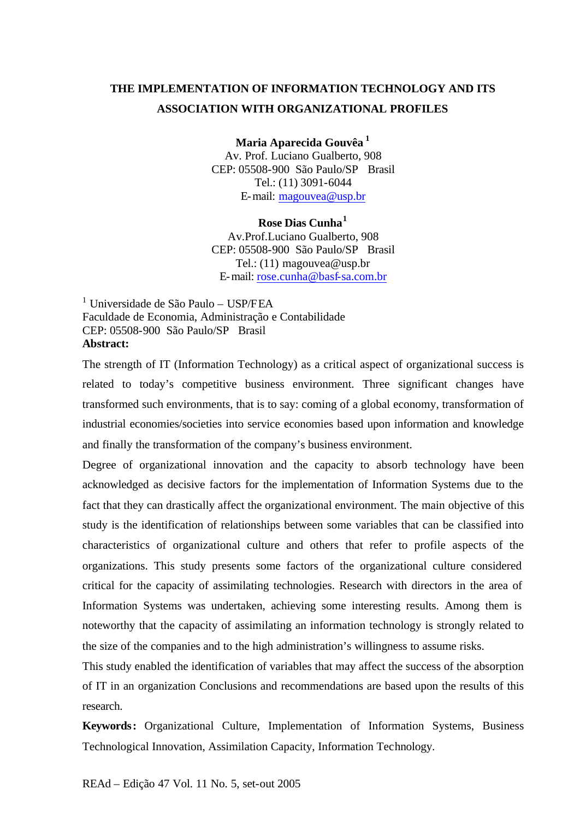# **THE IMPLEMENTATION OF INFORMATION TECHNOLOGY AND ITS ASSOCIATION WITH ORGANIZATIONAL PROFILES**

**Maria Aparecida Gouvêa <sup>1</sup>**

Av. Prof. Luciano Gualberto, 908 CEP: 05508-900 São Paulo/SP Brasil Tel.: (11) 3091-6044 E-mail: magouvea@usp.br

## **Rose Dias Cunha<sup>1</sup>**

Av.Prof.Luciano Gualberto, 908 CEP: 05508-900 São Paulo/SP Brasil Tel.: (11) magouvea@usp.br E-mail: rose.cunha@basf-sa.com.br

1 Universidade de São Paulo – USP/FEA Faculdade de Economia, Administração e Contabilidade CEP: 05508-900 São Paulo/SP Brasil **Abstract:**

The strength of IT (Information Technology) as a critical aspect of organizational success is related to today's competitive business environment. Three significant changes have transformed such environments, that is to say: coming of a global economy, transformation of industrial economies/societies into service economies based upon information and knowledge and finally the transformation of the company's business environment.

Degree of organizational innovation and the capacity to absorb technology have been acknowledged as decisive factors for the implementation of Information Systems due to the fact that they can drastically affect the organizational environment. The main objective of this study is the identification of relationships between some variables that can be classified into characteristics of organizational culture and others that refer to profile aspects of the organizations. This study presents some factors of the organizational culture considered critical for the capacity of assimilating technologies. Research with directors in the area of Information Systems was undertaken, achieving some interesting results. Among them is noteworthy that the capacity of assimilating an information technology is strongly related to the size of the companies and to the high administration's willingness to assume risks.

This study enabled the identification of variables that may affect the success of the absorption of IT in an organization Conclusions and recommendations are based upon the results of this research.

**Keywords:** Organizational Culture, Implementation of Information Systems, Business Technological Innovation, Assimilation Capacity, Information Technology.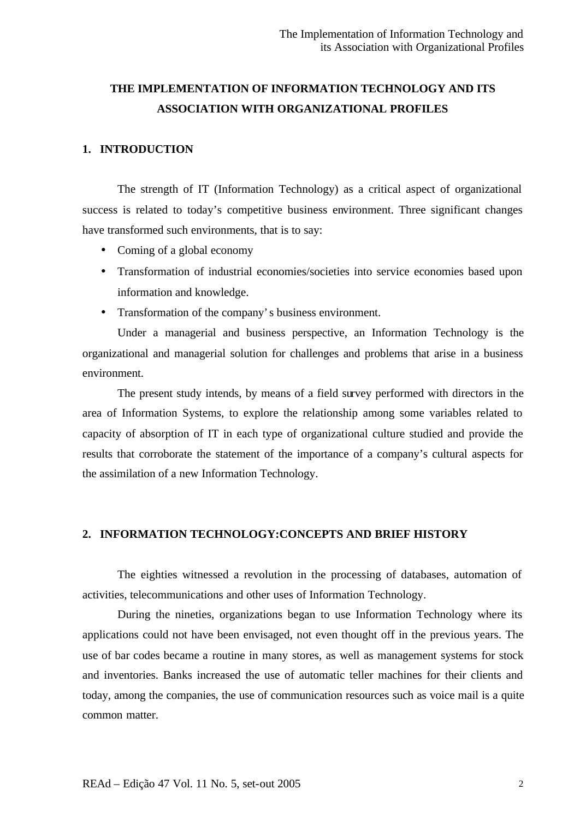# **THE IMPLEMENTATION OF INFORMATION TECHNOLOGY AND ITS ASSOCIATION WITH ORGANIZATIONAL PROFILES**

# **1. INTRODUCTION**

The strength of IT (Information Technology) as a critical aspect of organizational success is related to today's competitive business environment. Three significant changes have transformed such environments, that is to say:

- Coming of a global economy
- Transformation of industrial economies/societies into service economies based upon information and knowledge.
- Transformation of the company's business environment.

Under a managerial and business perspective, an Information Technology is the organizational and managerial solution for challenges and problems that arise in a business environment.

The present study intends, by means of a field survey performed with directors in the area of Information Systems, to explore the relationship among some variables related to capacity of absorption of IT in each type of organizational culture studied and provide the results that corroborate the statement of the importance of a company's cultural aspects for the assimilation of a new Information Technology.

# **2. INFORMATION TECHNOLOGY:CONCEPTS AND BRIEF HISTORY**

The eighties witnessed a revolution in the processing of databases, automation of activities, telecommunications and other uses of Information Technology.

During the nineties, organizations began to use Information Technology where its applications could not have been envisaged, not even thought off in the previous years. The use of bar codes became a routine in many stores, as well as management systems for stock and inventories. Banks increased the use of automatic teller machines for their clients and today, among the companies, the use of communication resources such as voice mail is a quite common matter.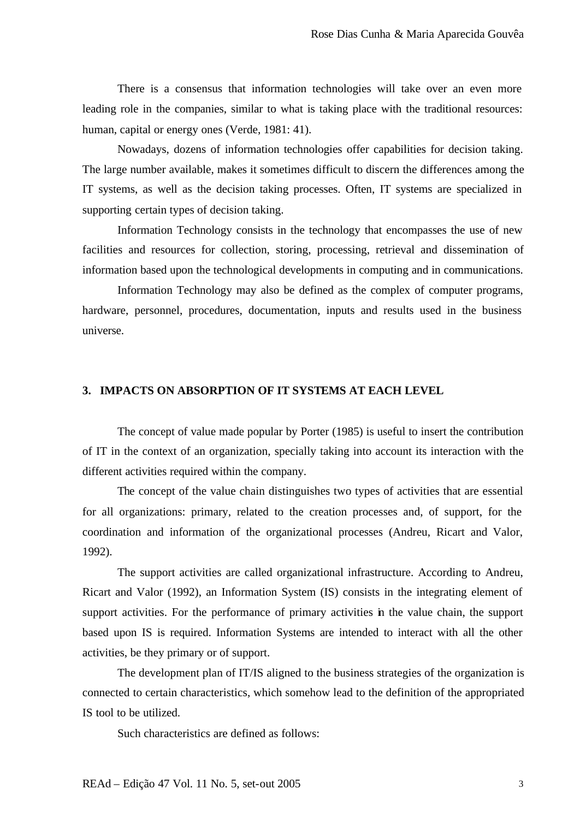There is a consensus that information technologies will take over an even more leading role in the companies, similar to what is taking place with the traditional resources: human, capital or energy ones (Verde, 1981: 41).

Nowadays, dozens of information technologies offer capabilities for decision taking. The large number available, makes it sometimes difficult to discern the differences among the IT systems, as well as the decision taking processes. Often, IT systems are specialized in supporting certain types of decision taking.

Information Technology consists in the technology that encompasses the use of new facilities and resources for collection, storing, processing, retrieval and dissemination of information based upon the technological developments in computing and in communications.

Information Technology may also be defined as the complex of computer programs, hardware, personnel, procedures, documentation, inputs and results used in the business universe.

## **3. IMPACTS ON ABSORPTION OF IT SYSTEMS AT EACH LEVEL**

The concept of value made popular by Porter (1985) is useful to insert the contribution of IT in the context of an organization, specially taking into account its interaction with the different activities required within the company.

The concept of the value chain distinguishes two types of activities that are essential for all organizations: primary, related to the creation processes and, of support, for the coordination and information of the organizational processes (Andreu, Ricart and Valor, 1992).

The support activities are called organizational infrastructure. According to Andreu, Ricart and Valor (1992), an Information System (IS) consists in the integrating element of support activities. For the performance of primary activities in the value chain, the support based upon IS is required. Information Systems are intended to interact with all the other activities, be they primary or of support.

The development plan of IT/IS aligned to the business strategies of the organization is connected to certain characteristics, which somehow lead to the definition of the appropriated IS tool to be utilized.

Such characteristics are defined as follows: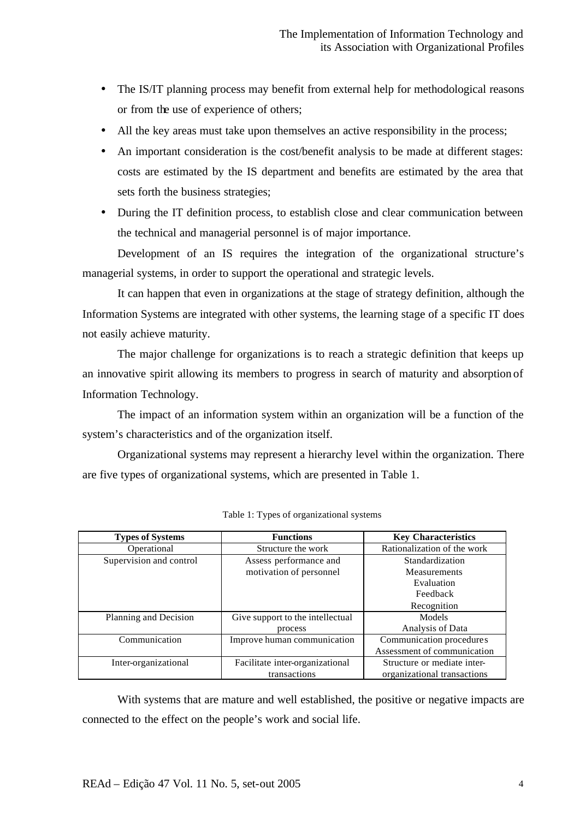- The IS/IT planning process may benefit from external help for methodological reasons or from the use of experience of others;
- All the key areas must take upon themselves an active responsibility in the process;
- An important consideration is the cost/benefit analysis to be made at different stages: costs are estimated by the IS department and benefits are estimated by the area that sets forth the business strategies;
- During the IT definition process, to establish close and clear communication between the technical and managerial personnel is of major importance.

Development of an IS requires the integration of the organizational structure's managerial systems, in order to support the operational and strategic levels.

It can happen that even in organizations at the stage of strategy definition, although the Information Systems are integrated with other systems, the learning stage of a specific IT does not easily achieve maturity.

The major challenge for organizations is to reach a strategic definition that keeps up an innovative spirit allowing its members to progress in search of maturity and absorption of Information Technology.

The impact of an information system within an organization will be a function of the system's characteristics and of the organization itself.

Organizational systems may represent a hierarchy level within the organization. There are five types of organizational systems, which are presented in Table 1.

| <b>Types of Systems</b> | <b>Functions</b>                 | <b>Key Characteristics</b>  |
|-------------------------|----------------------------------|-----------------------------|
| Operational             | Structure the work               | Rationalization of the work |
| Supervision and control | Assess performance and           | Standardization             |
|                         | motivation of personnel          | Measurements                |
|                         |                                  | Evaluation                  |
|                         |                                  | Feedback                    |
|                         |                                  | Recognition                 |
| Planning and Decision   | Give support to the intellectual | Models                      |
|                         | process                          | Analysis of Data            |
| Communication           | Improve human communication      | Communication procedures    |
|                         |                                  | Assessment of communication |
| Inter-organizational    | Facilitate inter-organizational  | Structure or mediate inter- |
|                         | transactions                     | organizational transactions |

Table 1: Types of organizational systems

With systems that are mature and well established, the positive or negative impacts are connected to the effect on the people's work and social life.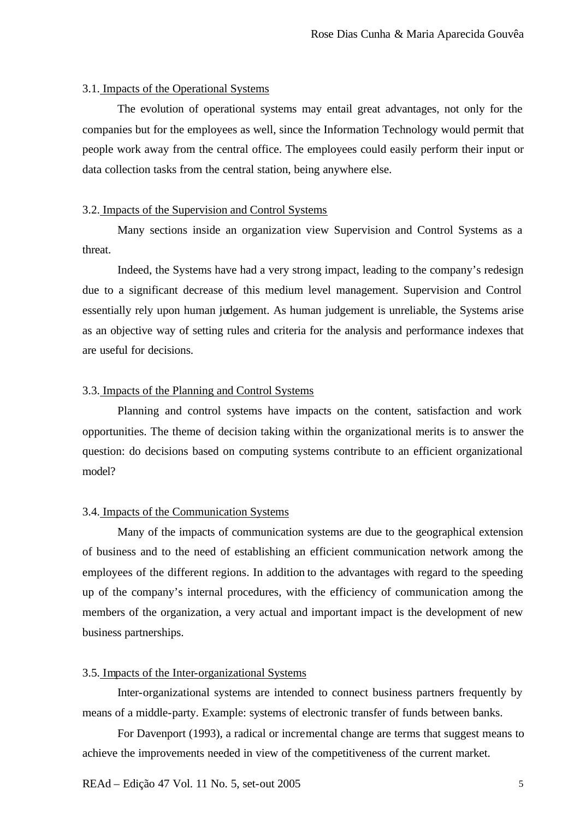# 3.1. Impacts of the Operational Systems

The evolution of operational systems may entail great advantages, not only for the companies but for the employees as well, since the Information Technology would permit that people work away from the central office. The employees could easily perform their input or data collection tasks from the central station, being anywhere else.

# 3.2. Impacts of the Supervision and Control Systems

Many sections inside an organization view Supervision and Control Systems as a threat.

Indeed, the Systems have had a very strong impact, leading to the company's redesign due to a significant decrease of this medium level management. Supervision and Control essentially rely upon human judgement. As human judgement is unreliable, the Systems arise as an objective way of setting rules and criteria for the analysis and performance indexes that are useful for decisions.

## 3.3. Impacts of the Planning and Control Systems

Planning and control systems have impacts on the content, satisfaction and work opportunities. The theme of decision taking within the organizational merits is to answer the question: do decisions based on computing systems contribute to an efficient organizational model?

# 3.4. Impacts of the Communication Systems

Many of the impacts of communication systems are due to the geographical extension of business and to the need of establishing an efficient communication network among the employees of the different regions. In addition to the advantages with regard to the speeding up of the company's internal procedures, with the efficiency of communication among the members of the organization, a very actual and important impact is the development of new business partnerships.

# 3.5. Impacts of the Inter-organizational Systems

Inter-organizational systems are intended to connect business partners frequently by means of a middle-party. Example: systems of electronic transfer of funds between banks.

For Davenport (1993), a radical or incremental change are terms that suggest means to achieve the improvements needed in view of the competitiveness of the current market.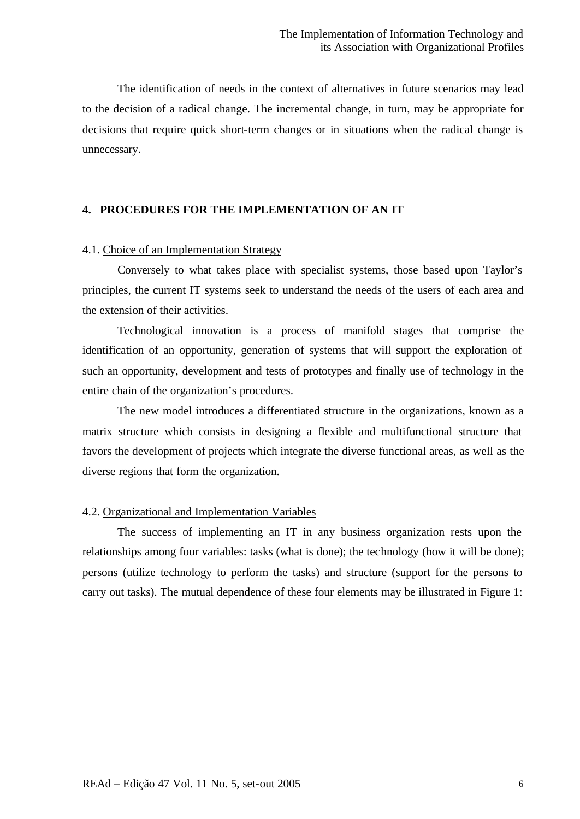The identification of needs in the context of alternatives in future scenarios may lead to the decision of a radical change. The incremental change, in turn, may be appropriate for decisions that require quick short-term changes or in situations when the radical change is unnecessary.

# **4. PROCEDURES FOR THE IMPLEMENTATION OF AN IT**

# 4.1. Choice of an Implementation Strategy

Conversely to what takes place with specialist systems, those based upon Taylor's principles, the current IT systems seek to understand the needs of the users of each area and the extension of their activities.

Technological innovation is a process of manifold stages that comprise the identification of an opportunity, generation of systems that will support the exploration of such an opportunity, development and tests of prototypes and finally use of technology in the entire chain of the organization's procedures.

The new model introduces a differentiated structure in the organizations, known as a matrix structure which consists in designing a flexible and multifunctional structure that favors the development of projects which integrate the diverse functional areas, as well as the diverse regions that form the organization.

# 4.2. Organizational and Implementation Variables

The success of implementing an IT in any business organization rests upon the relationships among four variables: tasks (what is done); the technology (how it will be done); persons (utilize technology to perform the tasks) and structure (support for the persons to carry out tasks). The mutual dependence of these four elements may be illustrated in Figure 1: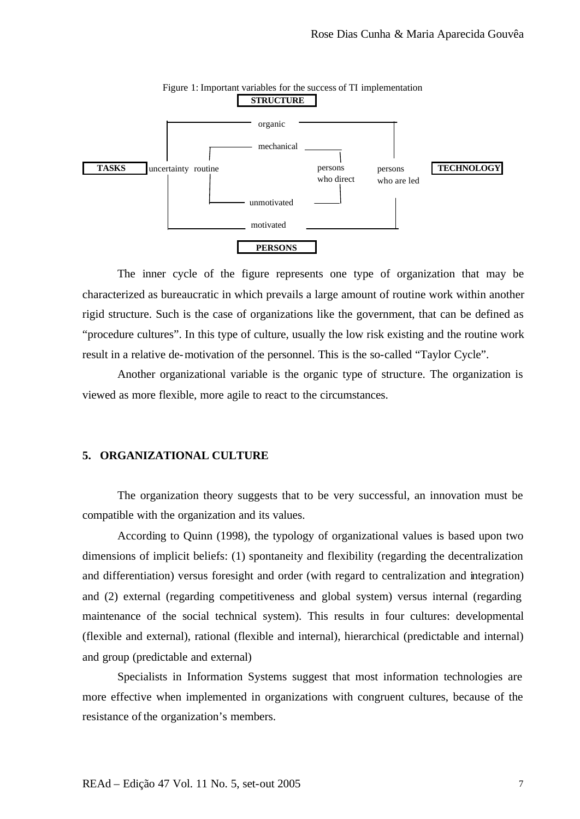

Figure 1: Important variables for the success of TI implementation

The inner cycle of the figure represents one type of organization that may be characterized as bureaucratic in which prevails a large amount of routine work within another rigid structure. Such is the case of organizations like the government, that can be defined as "procedure cultures". In this type of culture, usually the low risk existing and the routine work result in a relative de-motivation of the personnel. This is the so-called "Taylor Cycle".

Another organizational variable is the organic type of structure. The organization is viewed as more flexible, more agile to react to the circumstances.

# **5. ORGANIZATIONAL CULTURE**

The organization theory suggests that to be very successful, an innovation must be compatible with the organization and its values.

According to Quinn (1998), the typology of organizational values is based upon two dimensions of implicit beliefs: (1) spontaneity and flexibility (regarding the decentralization and differentiation) versus foresight and order (with regard to centralization and integration) and (2) external (regarding competitiveness and global system) versus internal (regarding maintenance of the social technical system). This results in four cultures: developmental (flexible and external), rational (flexible and internal), hierarchical (predictable and internal) and group (predictable and external)

Specialists in Information Systems suggest that most information technologies are more effective when implemented in organizations with congruent cultures, because of the resistance of the organization's members.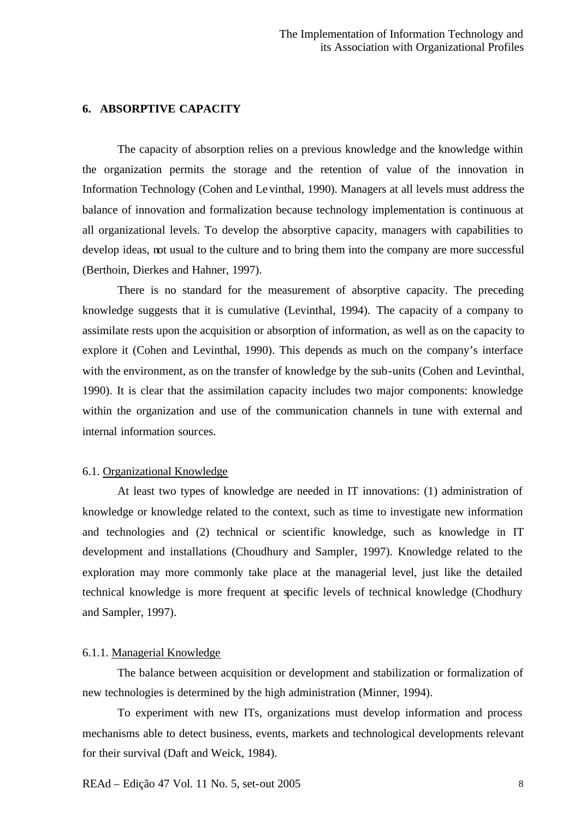# **6. ABSORPTIVE CAPACITY**

The capacity of absorption relies on a previous knowledge and the knowledge within the organization permits the storage and the retention of value of the innovation in Information Technology (Cohen and Levinthal, 1990). Managers at all levels must address the balance of innovation and formalization because technology implementation is continuous at all organizational levels. To develop the absorptive capacity, managers with capabilities to develop ideas, not usual to the culture and to bring them into the company are more successful (Berthoin, Dierkes and Hahner, 1997).

There is no standard for the measurement of absorptive capacity. The preceding knowledge suggests that it is cumulative (Levinthal, 1994). The capacity of a company to assimilate rests upon the acquisition or absorption of information, as well as on the capacity to explore it (Cohen and Levinthal, 1990). This depends as much on the company's interface with the environment, as on the transfer of knowledge by the sub-units (Cohen and Levinthal, 1990). It is clear that the assimilation capacity includes two major components: knowledge within the organization and use of the communication channels in tune with external and internal information sources.

### 6.1. Organizational Knowledge

At least two types of knowledge are needed in IT innovations: (1) administration of knowledge or knowledge related to the context, such as time to investigate new information and technologies and (2) technical or scientific knowledge, such as knowledge in IT development and installations (Choudhury and Sampler, 1997). Knowledge related to the exploration may more commonly take place at the managerial level, just like the detailed technical knowledge is more frequent at specific levels of technical knowledge (Chodhury and Sampler, 1997).

#### 6.1.1. Managerial Knowledge

The balance between acquisition or development and stabilization or formalization of new technologies is determined by the high administration (Minner, 1994).

To experiment with new ITs, organizations must develop information and process mechanisms able to detect business, events, markets and technological developments relevant for their survival (Daft and Weick, 1984).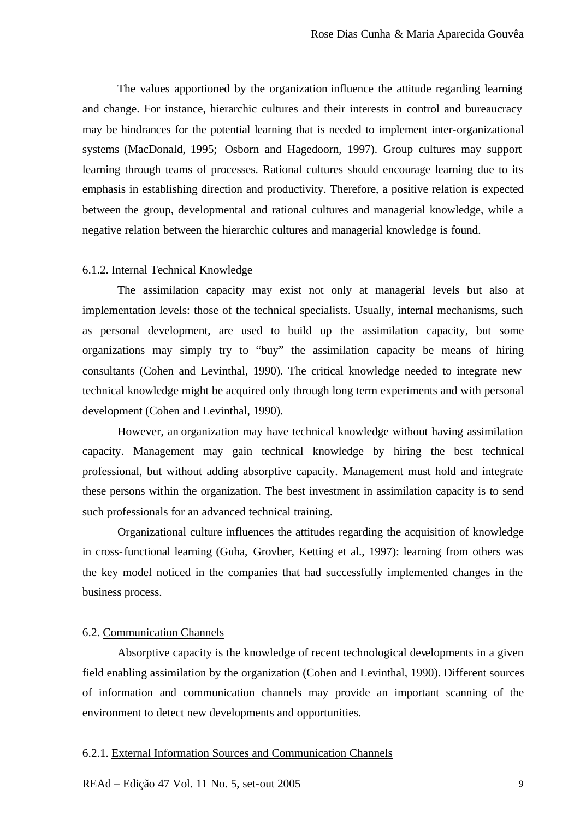The values apportioned by the organization influence the attitude regarding learning and change. For instance, hierarchic cultures and their interests in control and bureaucracy may be hindrances for the potential learning that is needed to implement inter-organizational systems (MacDonald, 1995; Osborn and Hagedoorn, 1997). Group cultures may support learning through teams of processes. Rational cultures should encourage learning due to its emphasis in establishing direction and productivity. Therefore, a positive relation is expected between the group, developmental and rational cultures and managerial knowledge, while a negative relation between the hierarchic cultures and managerial knowledge is found.

#### 6.1.2. Internal Technical Knowledge

The assimilation capacity may exist not only at managerial levels but also at implementation levels: those of the technical specialists. Usually, internal mechanisms, such as personal development, are used to build up the assimilation capacity, but some organizations may simply try to "buy" the assimilation capacity be means of hiring consultants (Cohen and Levinthal, 1990). The critical knowledge needed to integrate new technical knowledge might be acquired only through long term experiments and with personal development (Cohen and Levinthal, 1990).

However, an organization may have technical knowledge without having assimilation capacity. Management may gain technical knowledge by hiring the best technical professional, but without adding absorptive capacity. Management must hold and integrate these persons within the organization. The best investment in assimilation capacity is to send such professionals for an advanced technical training.

Organizational culture influences the attitudes regarding the acquisition of knowledge in cross-functional learning (Guha, Grovber, Ketting et al., 1997): learning from others was the key model noticed in the companies that had successfully implemented changes in the business process.

# 6.2. Communication Channels

Absorptive capacity is the knowledge of recent technological developments in a given field enabling assimilation by the organization (Cohen and Levinthal, 1990). Different sources of information and communication channels may provide an important scanning of the environment to detect new developments and opportunities.

# 6.2.1. External Information Sources and Communication Channels

REAd – Edição 47 Vol. 11 No. 5, set-out 2005 9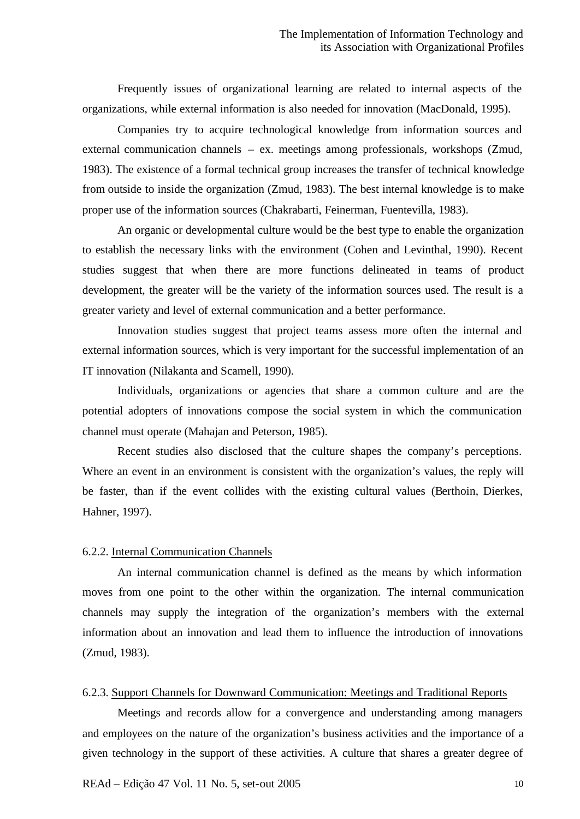Frequently issues of organizational learning are related to internal aspects of the organizations, while external information is also needed for innovation (MacDonald, 1995).

Companies try to acquire technological knowledge from information sources and external communication channels – ex. meetings among professionals, workshops (Zmud, 1983). The existence of a formal technical group increases the transfer of technical knowledge from outside to inside the organization (Zmud, 1983). The best internal knowledge is to make proper use of the information sources (Chakrabarti, Feinerman, Fuentevilla, 1983).

An organic or developmental culture would be the best type to enable the organization to establish the necessary links with the environment (Cohen and Levinthal, 1990). Recent studies suggest that when there are more functions delineated in teams of product development, the greater will be the variety of the information sources used. The result is a greater variety and level of external communication and a better performance.

Innovation studies suggest that project teams assess more often the internal and external information sources, which is very important for the successful implementation of an IT innovation (Nilakanta and Scamell, 1990).

Individuals, organizations or agencies that share a common culture and are the potential adopters of innovations compose the social system in which the communication channel must operate (Mahajan and Peterson, 1985).

Recent studies also disclosed that the culture shapes the company's perceptions. Where an event in an environment is consistent with the organization's values, the reply will be faster, than if the event collides with the existing cultural values (Berthoin, Dierkes, Hahner, 1997).

## 6.2.2. Internal Communication Channels

An internal communication channel is defined as the means by which information moves from one point to the other within the organization. The internal communication channels may supply the integration of the organization's members with the external information about an innovation and lead them to influence the introduction of innovations (Zmud, 1983).

#### 6.2.3. Support Channels for Downward Communication: Meetings and Traditional Reports

Meetings and records allow for a convergence and understanding among managers and employees on the nature of the organization's business activities and the importance of a given technology in the support of these activities. A culture that shares a greater degree of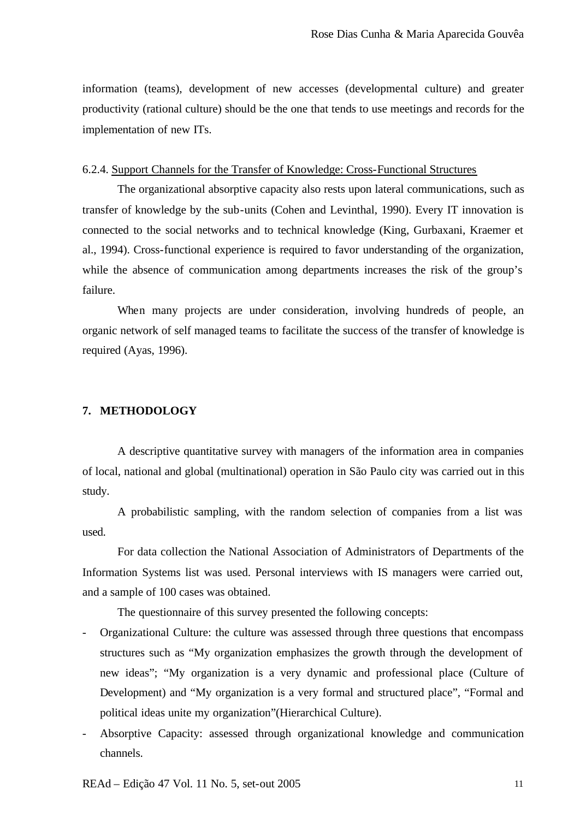information (teams), development of new accesses (developmental culture) and greater productivity (rational culture) should be the one that tends to use meetings and records for the implementation of new ITs.

## 6.2.4. Support Channels for the Transfer of Knowledge: Cross-Functional Structures

The organizational absorptive capacity also rests upon lateral communications, such as transfer of knowledge by the sub-units (Cohen and Levinthal, 1990). Every IT innovation is connected to the social networks and to technical knowledge (King, Gurbaxani, Kraemer et al., 1994). Cross-functional experience is required to favor understanding of the organization, while the absence of communication among departments increases the risk of the group's failure.

When many projects are under consideration, involving hundreds of people, an organic network of self managed teams to facilitate the success of the transfer of knowledge is required (Ayas, 1996).

# **7. METHODOLOGY**

A descriptive quantitative survey with managers of the information area in companies of local, national and global (multinational) operation in São Paulo city was carried out in this study.

A probabilistic sampling, with the random selection of companies from a list was used.

For data collection the National Association of Administrators of Departments of the Information Systems list was used. Personal interviews with IS managers were carried out, and a sample of 100 cases was obtained.

The questionnaire of this survey presented the following concepts:

- Organizational Culture: the culture was assessed through three questions that encompass structures such as "My organization emphasizes the growth through the development of new ideas"; "My organization is a very dynamic and professional place (Culture of Development) and "My organization is a very formal and structured place", "Formal and political ideas unite my organization"(Hierarchical Culture).
- Absorptive Capacity: assessed through organizational knowledge and communication channels.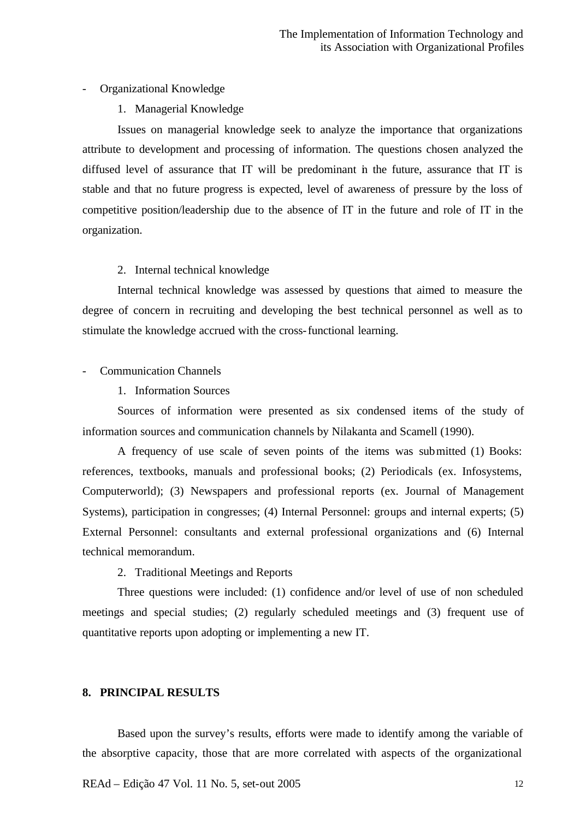# - Organizational Knowledge

# 1. Managerial Knowledge

Issues on managerial knowledge seek to analyze the importance that organizations attribute to development and processing of information. The questions chosen analyzed the diffused level of assurance that IT will be predominant in the future, assurance that IT is stable and that no future progress is expected, level of awareness of pressure by the loss of competitive position/leadership due to the absence of IT in the future and role of IT in the organization.

# 2. Internal technical knowledge

Internal technical knowledge was assessed by questions that aimed to measure the degree of concern in recruiting and developing the best technical personnel as well as to stimulate the knowledge accrued with the cross-functional learning.

## - Communication Channels

1. Information Sources

Sources of information were presented as six condensed items of the study of information sources and communication channels by Nilakanta and Scamell (1990).

A frequency of use scale of seven points of the items was submitted (1) Books: references, textbooks, manuals and professional books; (2) Periodicals (ex. Infosystems, Computerworld); (3) Newspapers and professional reports (ex. Journal of Management Systems), participation in congresses; (4) Internal Personnel: groups and internal experts; (5) External Personnel: consultants and external professional organizations and (6) Internal technical memorandum.

2. Traditional Meetings and Reports

Three questions were included: (1) confidence and/or level of use of non scheduled meetings and special studies; (2) regularly scheduled meetings and (3) frequent use of quantitative reports upon adopting or implementing a new IT.

## **8. PRINCIPAL RESULTS**

Based upon the survey's results, efforts were made to identify among the variable of the absorptive capacity, those that are more correlated with aspects of the organizational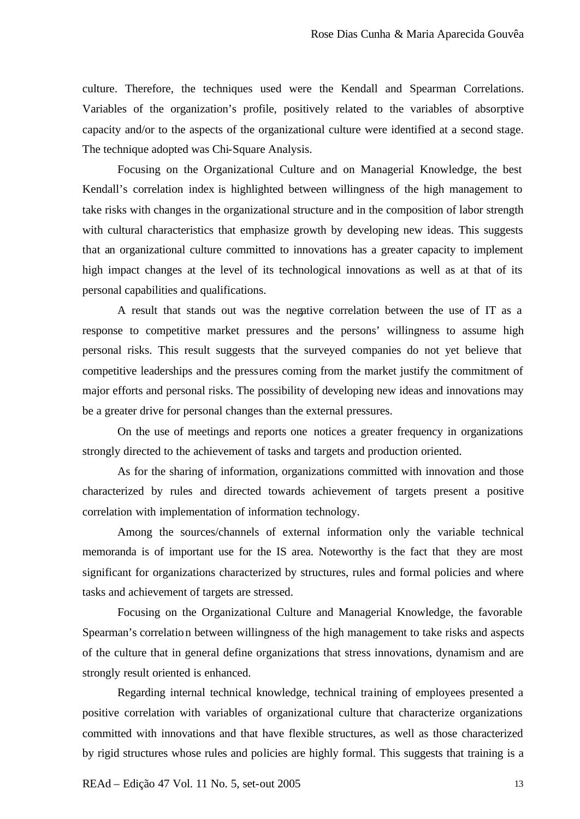culture. Therefore, the techniques used were the Kendall and Spearman Correlations. Variables of the organization's profile, positively related to the variables of absorptive capacity and/or to the aspects of the organizational culture were identified at a second stage. The technique adopted was Chi-Square Analysis.

Focusing on the Organizational Culture and on Managerial Knowledge, the best Kendall's correlation index is highlighted between willingness of the high management to take risks with changes in the organizational structure and in the composition of labor strength with cultural characteristics that emphasize growth by developing new ideas. This suggests that an organizational culture committed to innovations has a greater capacity to implement high impact changes at the level of its technological innovations as well as at that of its personal capabilities and qualifications.

A result that stands out was the negative correlation between the use of IT as a response to competitive market pressures and the persons' willingness to assume high personal risks. This result suggests that the surveyed companies do not yet believe that competitive leaderships and the pressures coming from the market justify the commitment of major efforts and personal risks. The possibility of developing new ideas and innovations may be a greater drive for personal changes than the external pressures.

On the use of meetings and reports one notices a greater frequency in organizations strongly directed to the achievement of tasks and targets and production oriented.

As for the sharing of information, organizations committed with innovation and those characterized by rules and directed towards achievement of targets present a positive correlation with implementation of information technology.

Among the sources/channels of external information only the variable technical memoranda is of important use for the IS area. Noteworthy is the fact that they are most significant for organizations characterized by structures, rules and formal policies and where tasks and achievement of targets are stressed.

Focusing on the Organizational Culture and Managerial Knowledge, the favorable Spearman's correlation between willingness of the high management to take risks and aspects of the culture that in general define organizations that stress innovations, dynamism and are strongly result oriented is enhanced.

Regarding internal technical knowledge, technical training of employees presented a positive correlation with variables of organizational culture that characterize organizations committed with innovations and that have flexible structures, as well as those characterized by rigid structures whose rules and policies are highly formal. This suggests that training is a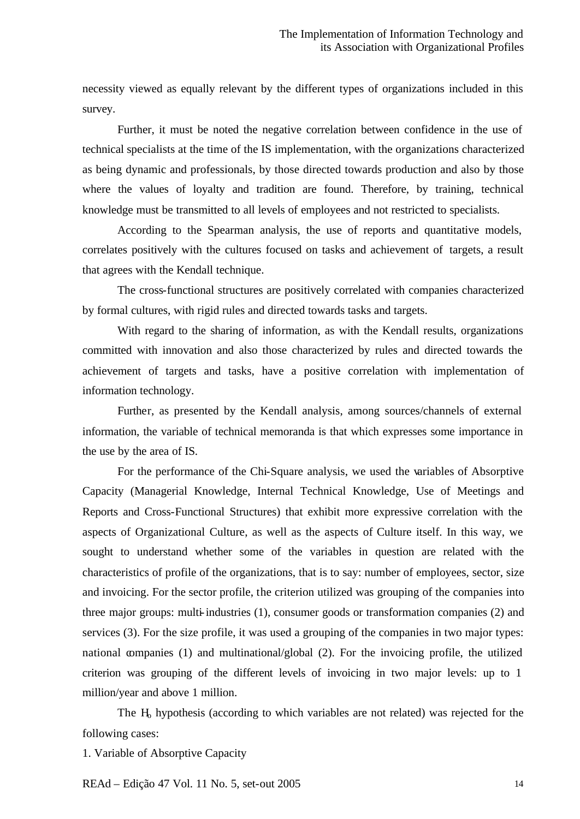necessity viewed as equally relevant by the different types of organizations included in this survey.

Further, it must be noted the negative correlation between confidence in the use of technical specialists at the time of the IS implementation, with the organizations characterized as being dynamic and professionals, by those directed towards production and also by those where the values of loyalty and tradition are found. Therefore, by training, technical knowledge must be transmitted to all levels of employees and not restricted to specialists.

According to the Spearman analysis, the use of reports and quantitative models, correlates positively with the cultures focused on tasks and achievement of targets, a result that agrees with the Kendall technique.

The cross-functional structures are positively correlated with companies characterized by formal cultures, with rigid rules and directed towards tasks and targets.

With regard to the sharing of information, as with the Kendall results, organizations committed with innovation and also those characterized by rules and directed towards the achievement of targets and tasks, have a positive correlation with implementation of information technology.

Further, as presented by the Kendall analysis, among sources/channels of external information, the variable of technical memoranda is that which expresses some importance in the use by the area of IS.

For the performance of the Chi-Square analysis, we used the variables of Absorptive Capacity (Managerial Knowledge, Internal Technical Knowledge, Use of Meetings and Reports and Cross-Functional Structures) that exhibit more expressive correlation with the aspects of Organizational Culture, as well as the aspects of Culture itself. In this way, we sought to understand whether some of the variables in question are related with the characteristics of profile of the organizations, that is to say: number of employees, sector, size and invoicing. For the sector profile, the criterion utilized was grouping of the companies into three major groups: multi-industries (1), consumer goods or transformation companies (2) and services (3). For the size profile, it was used a grouping of the companies in two major types: national companies (1) and multinational/global (2). For the invoicing profile, the utilized criterion was grouping of the different levels of invoicing in two major levels: up to 1 million/year and above 1 million.

The  $H<sub>0</sub>$  hypothesis (according to which variables are not related) was rejected for the following cases:

1. Variable of Absorptive Capacity

REAd – Edição 47 Vol. 11 No. 5, set-out 2005 14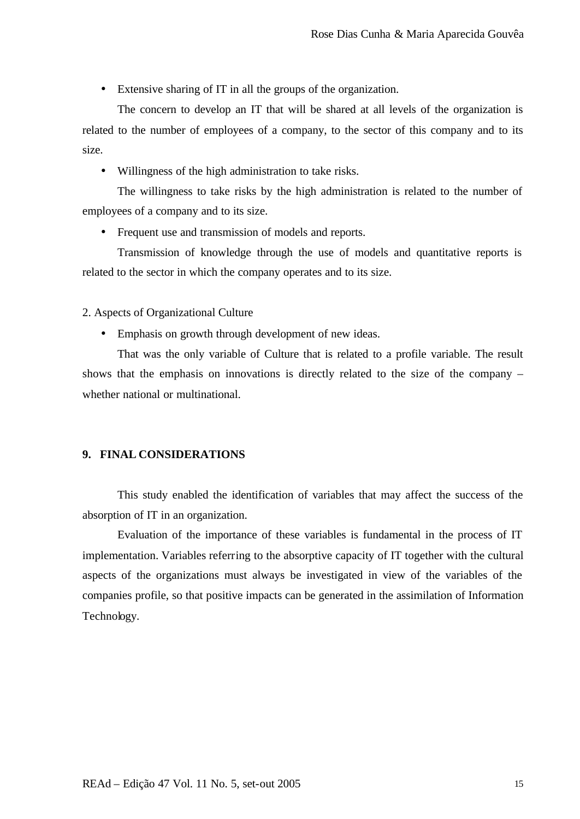• Extensive sharing of IT in all the groups of the organization.

The concern to develop an IT that will be shared at all levels of the organization is related to the number of employees of a company, to the sector of this company and to its size.

• Willingness of the high administration to take risks.

The willingness to take risks by the high administration is related to the number of employees of a company and to its size.

• Frequent use and transmission of models and reports.

Transmission of knowledge through the use of models and quantitative reports is related to the sector in which the company operates and to its size.

# 2. Aspects of Organizational Culture

• Emphasis on growth through development of new ideas.

That was the only variable of Culture that is related to a profile variable. The result shows that the emphasis on innovations is directly related to the size of the company – whether national or multinational.

# **9. FINAL CONSIDERATIONS**

This study enabled the identification of variables that may affect the success of the absorption of IT in an organization.

Evaluation of the importance of these variables is fundamental in the process of IT implementation. Variables referring to the absorptive capacity of IT together with the cultural aspects of the organizations must always be investigated in view of the variables of the companies profile, so that positive impacts can be generated in the assimilation of Information Technology.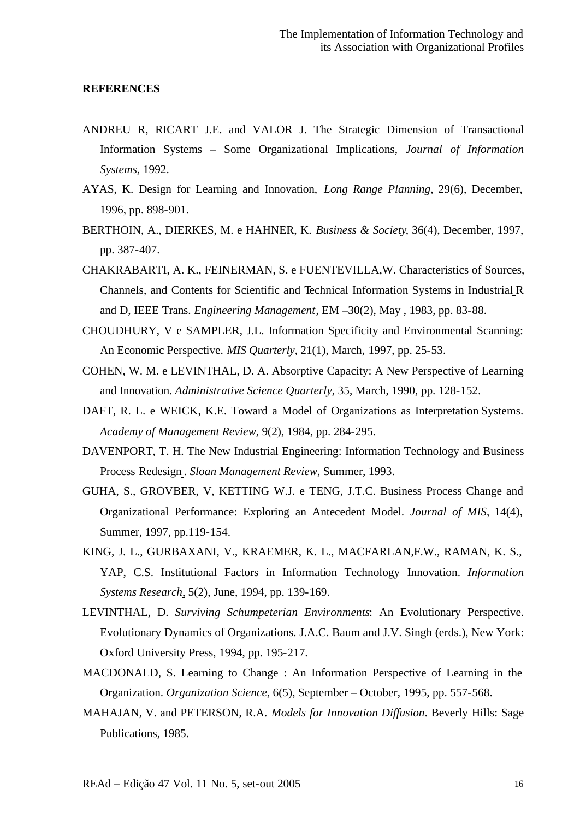#### **REFERENCES**

- ANDREU R, RICART J.E. and VALOR J. The Strategic Dimension of Transactional Information Systems – Some Organizational Implications, *Journal of Information Systems,* 1992.
- AYAS, K. Design for Learning and Innovation, *Long Range Planning*, 29(6), December, 1996, pp. 898-901.
- BERTHOIN, A., DIERKES, M. e HAHNER, K. *Business & Society*, 36(4), December, 1997, pp. 387-407.
- CHAKRABARTI, A. K., FEINERMAN, S. e FUENTEVILLA,W. Characteristics of Sources, Channels, and Contents for Scientific and Technical Information Systems in Industrial R and D, IEEE Trans. *Engineering Management*, EM –30(2), May , 1983, pp. 83-88.
- CHOUDHURY, V e SAMPLER, J.L. Information Specificity and Environmental Scanning: An Economic Perspective. *MIS Quarterly*, 21(1), March, 1997, pp. 25-53.
- COHEN, W. M. e LEVINTHAL, D. A. Absorptive Capacity: A New Perspective of Learning and Innovation. *Administrative Science Quarterly*, 35, March, 1990, pp. 128-152.
- DAFT, R. L. e WEICK, K.E. Toward a Model of Organizations as Interpretation Systems. *Academy of Management Review*, 9(2), 1984, pp. 284-295.
- DAVENPORT, T. H. The New Industrial Engineering: Information Technology and Business Process Redesign . *Sloan Management Review*, Summer, 1993.
- GUHA, S., GROVBER, V, KETTING W.J. e TENG, J.T.C. Business Process Change and Organizational Performance: Exploring an Antecedent Model. *Journal of MIS*, 14(4), Summer, 1997, pp.119-154.
- KING, J. L., GURBAXANI, V., KRAEMER, K. L., MACFARLAN,F.W., RAMAN, K. S., YAP, C.S. Institutional Factors in Information Technology Innovation. *Information Systems Research*, 5(2), June, 1994, pp. 139-169.
- LEVINTHAL, D. *Surviving Schumpeterian Environments*: An Evolutionary Perspective. Evolutionary Dynamics of Organizations. J.A.C. Baum and J.V. Singh (erds.), New York: Oxford University Press, 1994, pp. 195-217.
- MACDONALD, S. Learning to Change : An Information Perspective of Learning in the Organization. *Organization Science*, 6(5), September – October, 1995, pp. 557-568.
- MAHAJAN, V. and PETERSON, R.A. *Models for Innovation Diffusion*. Beverly Hills: Sage Publications, 1985.